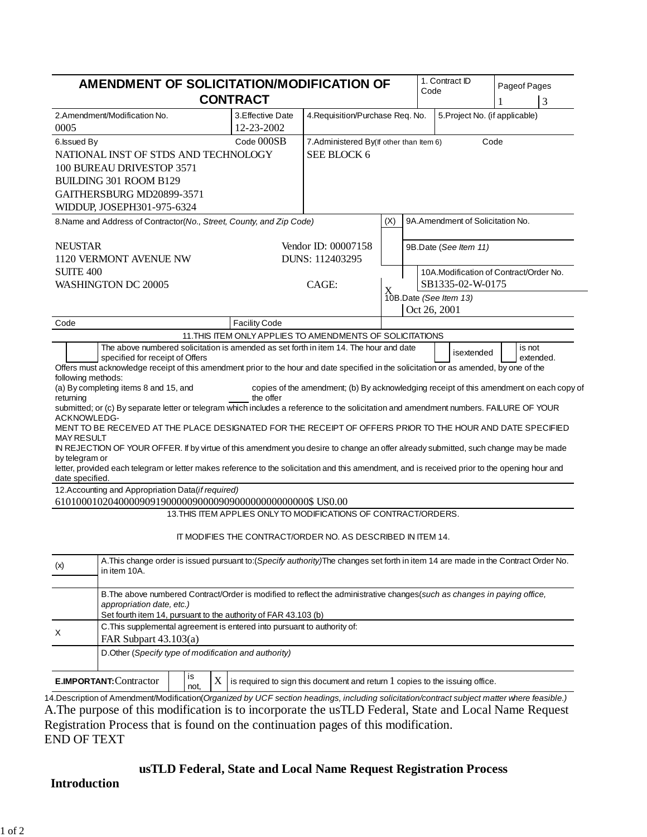| AMENDMENT OF SOLICITATION/MODIFICATION OF<br><b>CONTRACT</b>                                                                                                                                                                                          |                                 |                                                                                         | Code | 1. Contract ID        | Pageof Pages<br>3                |                                        |  |
|-------------------------------------------------------------------------------------------------------------------------------------------------------------------------------------------------------------------------------------------------------|---------------------------------|-----------------------------------------------------------------------------------------|------|-----------------------|----------------------------------|----------------------------------------|--|
| 2.Amendment/Modification No.<br>0005                                                                                                                                                                                                                  | 3. Effective Date<br>12-23-2002 | 4. Requisition/Purchase Req. No.                                                        |      |                       |                                  | 5. Project No. (if applicable)         |  |
| 6. Issued By                                                                                                                                                                                                                                          | Code 000SB                      | Code<br>7. Administered By(If other than Item 6)                                        |      |                       |                                  |                                        |  |
| NATIONAL INST OF STDS AND TECHNOLOGY                                                                                                                                                                                                                  |                                 | SEE BLOCK 6                                                                             |      |                       |                                  |                                        |  |
| 100 BUREAU DRIVESTOP 3571                                                                                                                                                                                                                             |                                 |                                                                                         |      |                       |                                  |                                        |  |
| BUILDING 301 ROOM B129                                                                                                                                                                                                                                |                                 |                                                                                         |      |                       |                                  |                                        |  |
| GAITHERSBURG MD20899-3571                                                                                                                                                                                                                             |                                 |                                                                                         |      |                       |                                  |                                        |  |
| WIDDUP, JOSEPH301-975-6324                                                                                                                                                                                                                            |                                 |                                                                                         |      |                       |                                  |                                        |  |
| 8. Name and Address of Contractor(No., Street, County, and Zip Code)                                                                                                                                                                                  |                                 |                                                                                         | (X)  |                       | 9A.Amendment of Solicitation No. |                                        |  |
| <b>NEUSTAR</b>                                                                                                                                                                                                                                        |                                 | Vendor ID: 00007158                                                                     |      | 9B.Date (See Item 11) |                                  |                                        |  |
| 1120 VERMONT AVENUE NW                                                                                                                                                                                                                                |                                 | DUNS: 112403295                                                                         |      |                       |                                  |                                        |  |
| <b>SUITE 400</b>                                                                                                                                                                                                                                      |                                 |                                                                                         |      |                       |                                  | 10A.Modification of Contract/Order No. |  |
| WASHINGTON DC 20005                                                                                                                                                                                                                                   | CAGE:                           |                                                                                         |      | SB1335-02-W-0175      |                                  |                                        |  |
|                                                                                                                                                                                                                                                       |                                 |                                                                                         |      |                       | 10B.Date (See Item 13)           |                                        |  |
|                                                                                                                                                                                                                                                       |                                 |                                                                                         |      | Oct 26, 2001          |                                  |                                        |  |
| Code                                                                                                                                                                                                                                                  | <b>Facility Code</b>            |                                                                                         |      |                       |                                  |                                        |  |
|                                                                                                                                                                                                                                                       |                                 | 11. THIS ITEM ONLY APPLIES TO AMENDMENTS OF SOLICITATIONS                               |      |                       |                                  |                                        |  |
| The above numbered solicitation is amended as set forth in item 14. The hour and date<br>specified for receipt of Offers                                                                                                                              |                                 |                                                                                         |      |                       | isextended                       | is not<br>extended.                    |  |
| Offers must acknowledge receipt of this amendment prior to the hour and date specified in the solicitation or as amended, by one of the                                                                                                               |                                 |                                                                                         |      |                       |                                  |                                        |  |
| following methods:                                                                                                                                                                                                                                    |                                 |                                                                                         |      |                       |                                  |                                        |  |
| (a) By completing items 8 and 15, and<br>returning                                                                                                                                                                                                    | the offer                       | copies of the amendment; (b) By acknowledging receipt of this amendment on each copy of |      |                       |                                  |                                        |  |
| submitted; or (c) By separate letter or telegram which includes a reference to the solicitation and amendment numbers. FAILURE OF YOUR                                                                                                                |                                 |                                                                                         |      |                       |                                  |                                        |  |
| ACKNOWLEDG-                                                                                                                                                                                                                                           |                                 |                                                                                         |      |                       |                                  |                                        |  |
| MENT TO BE RECEIVED AT THE PLACE DESIGNATED FOR THE RECEIPT OF OFFERS PRIOR TO THE HOUR AND DATE SPECIFIED                                                                                                                                            |                                 |                                                                                         |      |                       |                                  |                                        |  |
| <b>MAY RESULT</b><br>IN REJECTION OF YOUR OFFER. If by virtue of this amendment you desire to change an offer already submitted, such change may be made                                                                                              |                                 |                                                                                         |      |                       |                                  |                                        |  |
| by telegram or                                                                                                                                                                                                                                        |                                 |                                                                                         |      |                       |                                  |                                        |  |
| letter, provided each telegram or letter makes reference to the solicitation and this amendment, and is received prior to the opening hour and                                                                                                        |                                 |                                                                                         |      |                       |                                  |                                        |  |
| date specified.                                                                                                                                                                                                                                       |                                 |                                                                                         |      |                       |                                  |                                        |  |
| 12. Accounting and Appropriation Data(if required)                                                                                                                                                                                                    |                                 |                                                                                         |      |                       |                                  |                                        |  |
|                                                                                                                                                                                                                                                       |                                 | 13. THIS ITEM APPLIES ONLY TO MODIFICATIONS OF CONTRACT/ORDERS.                         |      |                       |                                  |                                        |  |
|                                                                                                                                                                                                                                                       |                                 |                                                                                         |      |                       |                                  |                                        |  |
|                                                                                                                                                                                                                                                       |                                 | IT MODIFIES THE CONTRACT/ORDER NO. AS DESCRIBED IN ITEM 14.                             |      |                       |                                  |                                        |  |
| A. This change order is issued pursuant to: (Specify authority) The changes set forth in item 14 are made in the Contract Order No.<br>(x)<br>in item 10A.                                                                                            |                                 |                                                                                         |      |                       |                                  |                                        |  |
| B. The above numbered Contract/Order is modified to reflect the administrative changes (such as changes in paying office,                                                                                                                             |                                 |                                                                                         |      |                       |                                  |                                        |  |
| appropriation date, etc.)                                                                                                                                                                                                                             |                                 |                                                                                         |      |                       |                                  |                                        |  |
| Set fourth item 14, pursuant to the authority of FAR 43.103 (b)<br>C. This supplemental agreement is entered into pursuant to authority of:                                                                                                           |                                 |                                                                                         |      |                       |                                  |                                        |  |
| X<br>FAR Subpart $43.103(a)$                                                                                                                                                                                                                          |                                 |                                                                                         |      |                       |                                  |                                        |  |
| D.Other (Specify type of modification and authority)                                                                                                                                                                                                  |                                 |                                                                                         |      |                       |                                  |                                        |  |
| is                                                                                                                                                                                                                                                    |                                 |                                                                                         |      |                       |                                  |                                        |  |
| <b>E.IMPORTANT: Contractor</b><br>X<br>not,                                                                                                                                                                                                           |                                 | is required to sign this document and return $1$ copies to the issuing office.          |      |                       |                                  |                                        |  |
| 14. Description of Amendment/Modification(Organized by UCF section headings, including solicitation/contract subject matter where feasible.)<br>A. The purpose of this modification is to incorporate the usTLD Federal, State and Local Name Request |                                 |                                                                                         |      |                       |                                  |                                        |  |

Registration Process that is found on the continuation pages of this modification.

END OF TEXT

# **usTLD Federal, State and Local Name Request Registration Process**

# **Introduction**